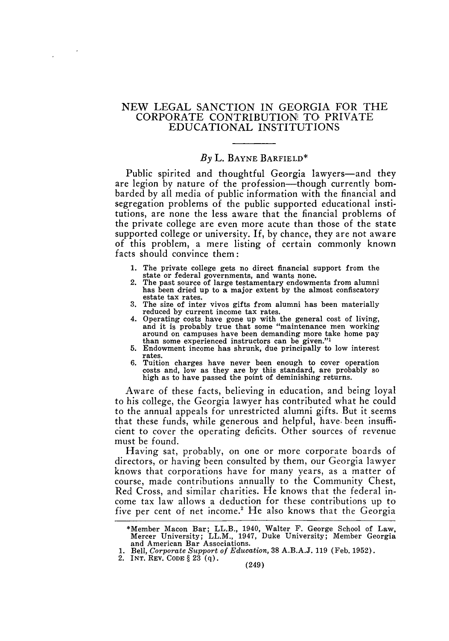## NEW LEGAL **SANCTION IN GEORGIA** FOR THE CORPORATE CONTRIBUTION! TO PRIVATE **EDUCATIONAL INSTITUTIONS**

## *By* L. **BAYNE** BARFIELD\*

Public spirited and thoughtful Georgia lawyers—and they are legion by nature of the profession-though currently bombarded by all media of public information with the financial and segregation problems of the public supported educational institutions, are none the less aware that the financial problems of the private college are even more acute than those of the state supported college or university. If, **by** chance, they are not aware of this problem, a mere listing of certain commonly known facts should convince them:

- **1.** The private college gets no direct financial support from the
- 2. The past source of large testamentary endowments from alumni has been dried up to a major extent by the almost confiscatory estate tax rates.
- 3. The size of inter vivos gifts from alumni has been materially reduced by current income tax rates.
- 4. Operating costs have gone up with the general cost of living, and it is probably true that some "maintenance men working around on campuses have been demanding more take home pay than some experienced instructors can be given."'
- 5. Endowment income has shrunk, due principally to low interest rates.<br>6. Tuition charges have never been enough to cover operation
- costs and, low as they are by this standard, are probably so high as to have passed the point of deminishing returns.

Aware of these facts, believing in education, and being loyal to his college, the Georgia lawyer has contributed what he could to the annual appeals for unrestricted alumni gifts. But it seems that these funds, while generous and helpful, have. been insufficient to cover the operating deficits. Other sources of revenue must be found.

Having sat, probably, on one or more corporate boards of directors, or having been consulted by them, our Georgia lawyer knows that corporations have for many years, as a matter of course, made contributions annually to the Community Chest, Red Cross, and similar charities. He knows that the federal income tax law allows a deduction for these contributions up to five per cent of net income.<sup>2</sup> He also knows that the Georgia

<sup>\*</sup>Member Macon Bar; LL.B., 1940, Walter F. George School of Law, Mercer University; LL.M., 1947, Duke University; Member Georgia and American Bar Associations.

<sup>1.</sup> Bell, *Corporate Support of Education,* 38 A.B.A.J. 119 (Feb. 1952).

<sup>2.</sup> **INT.** REV. **CODE § 23** (q).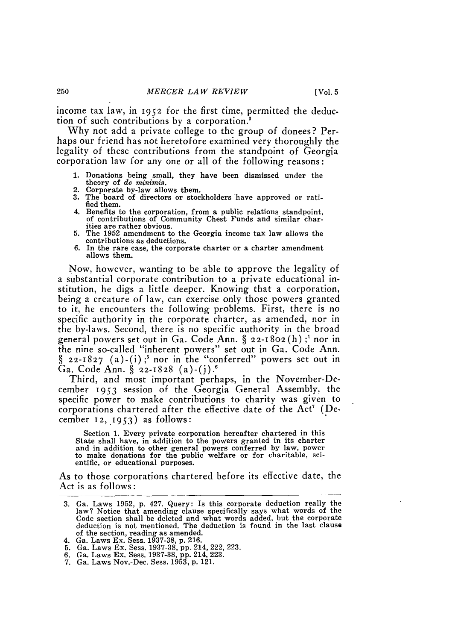income tax law, in 1952 for the first time, permitted the deduction of such contributions by a corporation.'

Why not add a private college to the group of donees? Perhaps our friend has not heretofore examined very thoroughly the legality of these contributions from the standpoint of Georgia corporation law for any one or all of the following reasons:

- **1.** Donations being small, they have been dismissed under the theory of *de minimis.*
- 2. Corporate by-law allows them.
- 3. The board of directors or stockholders have approved or ratified them.
- 4. Benefits to the corporation, from a public relations standpoint, of contributions of Community Chest Funds and similar charities are rather obvious.
- 5. The 1952 amendment to the Georgia income tax law allows the contributions as deductions.
- 6. In the rare case, the corporate charter or a charter amendment allows them.

Now, however, wanting to be able to approve the legality of a substantial corporate contribution to a private educational institution, he digs a little deeper. Knowing that a corporation, being a creature of law, can exercise only those powers granted to it, he encounters the following problems. First, there is no specific authority in the corporate charter, as amended, nor in the by-laws. Second, there is no specific authority in the broad general powers set out in Ga. Code Ann. § 22-1802(h) **;4** nor in the nine so-called "inherent powers" set out in Ga. Code Ann. **§** 22-I827 (a)-(i) **;5** nor in the "conferred" powers set out in Ga. Code Ann. § 22-1828 (a)-(j).<sup>6</sup>

Third, and most important perhaps, in the November-December 1953 session of the Georgia General Assembly, the specific power to make contributions to charity was given to corporations chartered after the effective date of the  $Act<sup>7</sup>$  (December **12,** 1953) as follows:

Section **1.** Every private corporation hereafter chartered in this State shall have, in addition to the powers granted in its charter and in addition to other general powers conferred by law, power to make donations for the public welfare or for charitable, scientific, or educational purposes.

As to those corporations chartered before its effective date, the Act is as follows:

250

<sup>3.</sup> Ga. Laws 1952, p. 427. Query: Is this corporate deduction really the law? Notice that amending clause specifically says what words of the Code section shall be deleted and what words added, but the corporate deduction is not mentioned. The deduction is found in the last clause of the section, reading as amended.

<sup>4.</sup> Ga. Laws Ex. Sess. 1937-38, p. 216.

<sup>5.</sup> Ga. Laws Ex. Sess. 1937-38, pp. 214, 222, 223.

<sup>6.</sup> Ga. Laws Ex. Sess. 1937-38, pp. 214, 223. 7. Ga. Laws Nov.-Dec. Sess. 1953, p. 121.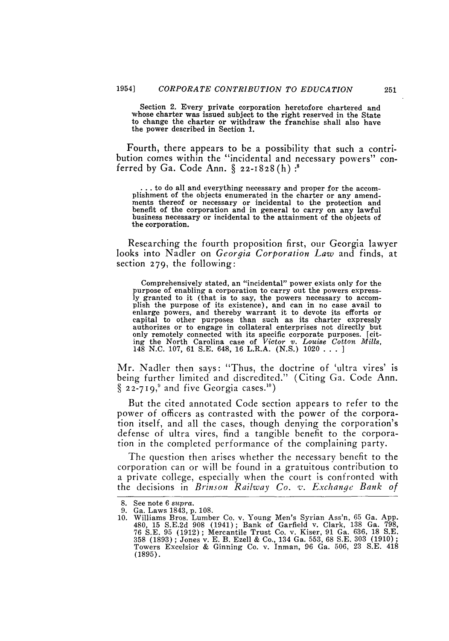Section 2. Every private corporation heretofore chartered and whose charter was issued subject to the right reserved in the State to change the charter or withdraw the franchise shall also have the power described in Section 1.

Fourth, there appears to be a possibility that such a contribution comes within the "incidental and necessary powers" conferred by Ga. Code Ann. § 22-1828 (h) **:'**

**...** to do all and everything necessary and proper for the accomplishment of the objects enumerated in the charter or any amendments thereof or necessary or incidental to the protection and benefit of the corporation and in general to carry on any lawful business necessary or incidental to the attainment of the objects of the corporation.

Researching the fourth proposition first, our Georgia lawyer looks into Nadler on *Georgia Corporation Law* and finds, at section 279, the following:

Comprehensively stated, an "incidental" power exists only for the purpose of enabling a corporation to carry out the powers express-<br>ly granted to it (that is to say, the powers necessary to accom-<br>plish the purpose of its existence), and can in no case avail to plish the purpose of its existence), and can in no case avail to enlarge powers, and thereby warrant it to devote its efforts or capital to other purposes than such as its charter expressly authorizes or to engage in collateral enterprises not directly but only remotely connected with its specific corporate purposes. [citing the North Carolina case of *Victor v. Louise Cotton Mills,* 148 N.C. 107, 61 S.E. 648, 16 L.R.A. (N.S.) 1020 . **. .**

Mr. Nadler then says: "Thus, the doctrine of 'ultra vires' is being further limited and discredited." (Citing Ga. Code Ann.  $\S$  22-719,<sup>9</sup> and five Georgia cases.<sup>10</sup>)

But the cited annotated Code section appears to refer to the power of officers as contrasted with the power of the corporation itself, and all the cases, though denying the corporation's defense of ultra vires, find a tangible benefit to the corporation in the completed performance of the complaining party.

The question then arises whether the necessary benefit to the corporation can or will be found in a gratuitous contribution to a private college, especially when the court is confronted with the decisions in *Brinson Railway Co. v. Exchange Bank of*

<sup>8.</sup> See note 6 *supra.*

<sup>9.</sup> Ga. Laws 1843, p. 108.

<sup>10.</sup> Williams Bros. Lumber Co. v. Young Men's Syrian Ass'n, 65 Ga. App. 480, 15 S.E.2d 908 (1941); Bank of Garfield v. Clark, 138 Ga. 798, 76 S.E. 95 (1912); Mercantile Trust Co. v. Kiser, 91 Ga. 636, 18 S.E. 358 (1893) ; Jones v. E. B. Ezell & Co., 134 Ga. 553, 68 S.E. 303 (1910) **;** Towers Excelsior & Ginning Co. v. Inman, 96 Ga. 506, 23 S.E. 418 (1895).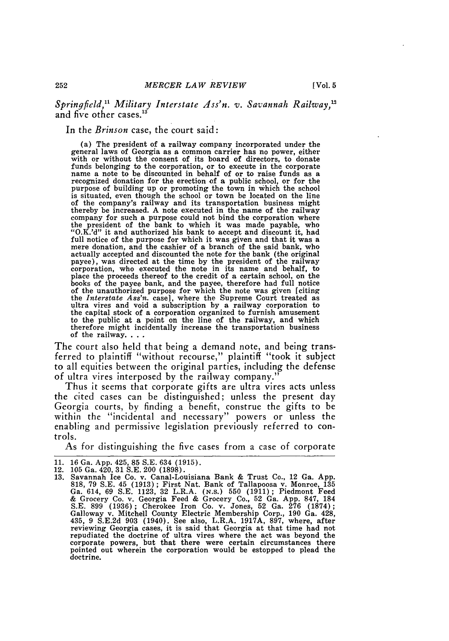*Springfield," Military Interstate Ass'n. v. Savannah Railway,"* and five other cases. $^{13}$ 

In the *Brinson* case, the court said:

(a) The president of a railway company incorporated under the general laws of Georgia as a common carrier has no power, either with or without the consent of its board of directors, to donate funds belonging to the corporation, or to execute in the corporate name a note to be discounted in behalf of or to raise funds as a purpose of building up or promoting the town in which the school is situated, even though the school or town be located on the line of the company's railway and its transportation business might thereby be increased. A note executed in the name of the railway company for such a purpose could not bind the corporation where the president of the bank to which it was made payable, who "O.K.'d" it and authorized his bank to accept and discount it, had full notice of the purpose for which it was given and that it was a mere donation, and the cashier of a branch of the said bank, who actually accepted and discounted the note for the bank (the original payee), was directed at the time **by** the president of the railway corporation, who executed the note in its name and behalf, to place the proceeds thereof to the credit of a certain school, on the books of the payee bank, and the payee, therefore had full notice of the unauthorized purpose for which the note was given [citing the *Interstate Ass'n.* case], where the Supreme Court treated as ultra vires and void a subscription **by** a railway corporation to the capital stock of a corporation organized to furnish amusement to the public at a point on the line of the railway, and which therefore might incidentally increase the transportation business of the railway...

The court also held that being a demand note, and being transferred to plaintiff "without recourse," plaintiff "took it subject to all equities between the original parties, including the defense of ultra vires interposed by the railway company."

Thus it seems that corporate gifts are ultra vires acts unless the cited cases can be distinguished; unless the present day Georgia courts, by finding a benefit, construe the gifts to be within the "incidental and necessary" powers or unless the enabling and permissive legislation previously referred to controls.

As for distinguishing the five cases from a case of corporate

<sup>11. 16</sup> Ga. App. 425, 85 S.E. 634 (1915).

<sup>12. 105</sup> Ga. 420, **31 S.E.** 200 **(1898).**

<sup>13.</sup> Savannah Ice Co. v. Canal-Louisiana Bank & Trust Co., 12 Ga. App. 818, **79** S.E. 45 (1913) ; First Nat. Bank of Tallapoosa v. Monroe, 135 Ga. 614, 69 S.E. 1123, 32 L.R.A. (N.S.) 550 (1911) ; Piedmont Feed & Grocery Co. v. Georgia Feed & Grocery Co., 52 Ga. App. 847, 184 S.E. 899 (1936) ; Cherokee Iron Co. v. Jones, 52 Ga. 276 (1874); Galloway v. Mitchell County Electric Membership Corp., 190 Ga. 428,  $435, 9$  S.E.2d  $903$  (1940). See also, L.R.A. 1917A, 897, where, after<br>reviewing Georgia cases, it is said that Georgia at that time had not<br>repudiated the doctrine of ultra vires where the act was beyond the<br>corporate p pointed out wherein the corporation would be estopped to plead the doctrine.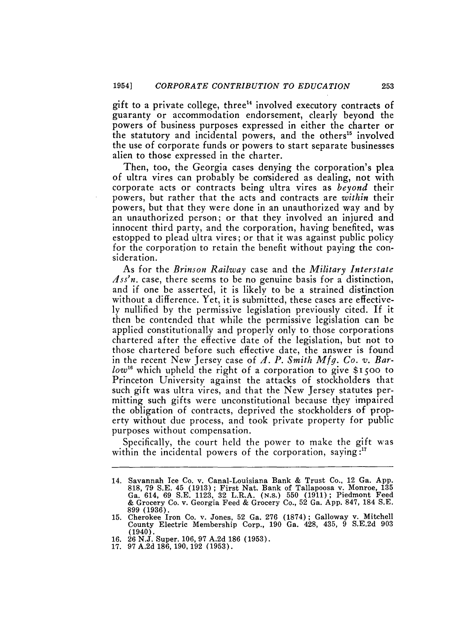gift to a private college, three<sup>14</sup> involved executory contracts of guaranty or accommodation endorsement, clearly beyond the powers of business purposes expressed in either the charter or the statutory and incidental powers, and the others<sup>15</sup> involved the use of corporate funds or powers to start separate businesses alien to those expressed in the charter.

Then, too, the Georgia cases denying the corporation's plea of ultra vires can probably be considered as dealing, not with corporate acts or contracts being ultra vires as *beyond* their powers, but rather that the acts and contracts are *within* their powers, but that they were done in an unauthorized way and by an unauthorized person; or that they involved an injured and innocent third party, and the corporation, having benefited, was estopped to plead ultra vires; or that it was against public policy for the corporation to retain the benefit without paying the consideration.

As for the *Brinson Railway* case and the *Military Interstate 4ss'n.* case, there seems to be no genuine basis for a distinction, and if one be asserted, it is likely to be a strained distinction without a difference. Yet, it is submitted, these cases are effectively nullified by the permissive legislation previously cited. If it then be contended that while the permissive legislation can be applied constitutionally and properly only to those corporations chartered after the effective date of the legislation, but not to those chartered before such effective date, the answer is found in the recent New Jersey case of *J. P. Smith Mfg. Co. v. Barlow*<sup>16</sup> which upheld the right of a corporation to give \$1500 to Princeton University against the attacks of stockholders that such gift was ultra vires, and that the New Jersey statutes permitting such gifts were unconstitutional because they impaired the obligation of contracts, deprived the stockholders of property without due process, and took private property for public purposes without compensation.

Specifically, the court held the power to make the gift was within the incidental powers of the corporation, saying:<sup>17</sup>

<sup>14.</sup> Savannah Ice Co. v. Canal-Louisiana Bank & Trust Co., 12 Ga. App. 818, 79 S.E. 45 (1913) ; First Nat. Bank of Tallapoosa v. Monroe, **135** Ga. 614, 69 S.E. 1123, 32 L.R.A. (N.S.) 550 (1911); Piedmont Feed & Grocery Co. v. Georgia Feed & Grocery Co., 52 Ga. App. 847, 184 S.E. 899 (1936).

<sup>15.</sup> Cherokee Iron Co. v. Jones, 52 Ga. **276** (1874); Galloway v. Mitchell County Electric Membership Corp., 190 Ga. 428, 435, 9 S.E.2d 903  $(1940)$ .

<sup>16. 26</sup> N.J. Super. 106, **97** A.2d 186 (1953).

<sup>17. 97</sup> A.2d 186, 190, 192 (1953).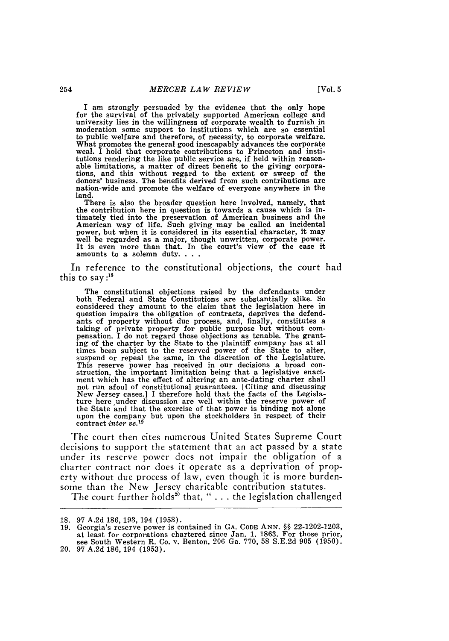**I** am strongly persuaded by the evidence that the only hope for the survival of the privately supported American college and university lies in the willingness of corporate wealth to furnish in moderation some support to institutions which are so essential to public welfare and therefore, of necessity, to corporate welfare. What promotes the general good inescapably advances the corporate weal. I hold that corporate contributions to Princeton and institutions rendering the like public service are, if held within reasonable limitations, a matter of direct benefit to the giving corporations, and this without regard to the extent or sweep of the donors' business. The benefits derived from such contributions are nation-wide and promote the welfare of everyone anywhere in the land.

There is also the broader question here involved, namely, that the contribution here in question is towards a cause which is intimately tied into the preservation of American business and the American way of life. Such giving may be called an incidental power, but when it is considered in its essential character, it may well be regarded as a major, though unwritten, corporate power. It is even more than that. In the court's view of the case it amounts to a solemn duty. . . .

In reference to the constitutional objections, the court had this to say **:"8**

The constitutional objections raised by the defendants under both Federal and State Constitutions are substantially alike. So considered they amount to the claim that the legislation here in question impairs the obligation of contracts, deprives the defend-ants of property without due process, and, finally, constitutes a taking of private property for public purpose but without com-pensation. I do not regard those objections as tenable. The granting of the charter by the State to the plaintiff company has at all times been subject to the reserved power of the State to alter, suspend or repeal the same, in the discretion of the Legislature. This reserve power has received in our decisions a broad con-struction, the important limitation being that a legislative enactment which has the effect of altering an ante-dating charter shall not run afoul of constitutional guarantees. [Citing and discussing New Jersey cases.] I therefore hold that the facts of the Legislature here under discussion are well within the reserve power of the State and that the exercise of that power is binding not alone upon the company but upon the stockholders in respect of their contract *inter* se.<sup>19</sup>

The court then cites numerous United States Supreme Court decisions to support the statement that an act passed by a state under its reserve power does not impair the obligation of a charter contract nor does it operate as a deprivation of property without due process of law, even though it is more burdensome than the New Jersey charitable contribution statutes.

The court further holds<sup>20</sup> that, "  $\ldots$  the legislation challenged

<sup>18. 97</sup> A.2d 186, 193, 194 (1953).

<sup>19.</sup> Georgia's reserve power is contained in GA. CODE ANN. §§ 22-1202-1203, at least for corporations chartered since Jan. 1. 1863. For those prior, see South Western R. Co. v. Benton, 206 Ga. 770, 58 S.E.2d 905 (1950).

<sup>20.</sup> **97** A.2d 186,194 (1953).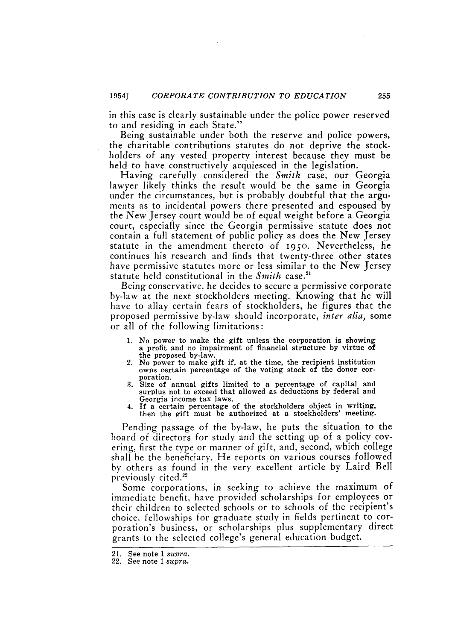in this case is clearly sustainable under the police power reserved to and residing in each State."

Being sustainable under both the reserve and police powers, the charitable contributions statutes do not deprive the stockholders of any vested property interest because they must be held to have constructively acquiesced in the legislation.

Having carefully considered the *Smith* case, our Georgia lawyer likely thinks the result would be the same in Georgia under the circumstances, but is probably doubtful that the arguments as to incidental powers there presented and espoused by the New Jersey court would be of equal weight before a Georgia court, especially since the Georgia permissive statute does not contain a full statement of public policy as does the New Jersey statute in the amendment thereto of **I95O.** Nevertheless, he continues his research and finds that twenty-three other states have permissive statutes more or less similar to the New Jersey statute held constitutional in the *Smith* case.<sup>21</sup>

Being conservative, he decides to secure a permissive corporate by-law at the next stockholders meeting. Knowing that he will have to allay certain fears of stockholders, he figures that the proposed permissive by-law should incorporate, *inter alia,* some or all of the following limitations:

- **1.** No power to make the gift unless the corporation is showing a profit and no impairment of financial structure by virtue of the proposed by-law.<br>2. No power to make gift if, at the time, the recipient institution
- % owns certain percentage of the voting stock of the donor cor-<br>poration.<br>3. Size of annual gifts limited to a percentage of capital and
- surplus not to exceed that allowed as deductions by federal and Georgia income tax laws.
- 4. If a certain percentage of the stockholders object in writing, then the gift must be authorized at a stockholders' meeting.

Pending passage of the by-law, he puts the situation to the board of directors for study and the setting up of a policy covering, first the type or manner of gift, and, second, which college shall be the beneficiary. He reports on various courses followed by others as found in the very excellent article by Laird Bell previously cited.<sup>22</sup>

Some corporations, in seeking to achieve the maximum of immediate benefit, have provided scholarships for employees or their children to selected schools or to schools of the recipient's choice, fellowships for graduate study in fields pertinent to corporation's business, or scholarships plus supplementary direct grants to the selected college's general education budget.

<sup>21.</sup> See note 1 *supra.*

<sup>22.</sup> See note 1 *supra.*